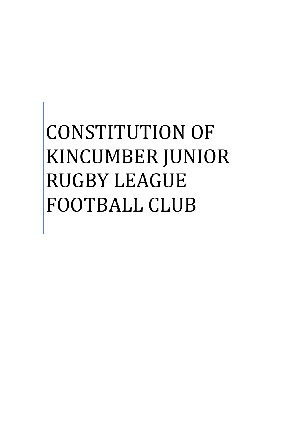# CONSTITUTION OF KINCUMBER JUNIOR RUGBY LEAGUE FOOTBALL CLUB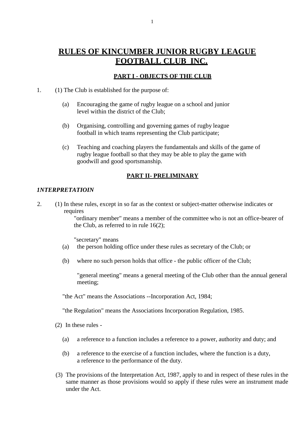# **RULES OF KINCUMBER JUNIOR RUGBY LEAGUE FOOTBALL CLUB INC.**

#### **PART I - OBJECTS OF THE CLUB**

- 1. (1) The Club is established for the purpose of:
	- (a) Encouraging the game of rugby league on a school and junior level within the district of the Club;
	- (b) Organising, controlling and governing games of rugby league football in which teams representing the Club participate;
	- (c) Teaching and coaching players the fundamentals and skills of the game of rugby league football so that they may be able to play the game with goodwill and good sportsmanship.

#### **PART II- PRELIMINARY**

#### *1NTERPRETATIOIN*

2. (1) In these rules, except in so far as the context or subject-matter otherwise indicates or requires

> "ordinary member" means a member of the committee who is not an office-bearer of the Club, as referred to in rule 16(2);

"secretary" means

- (a) the person holding office under these rules as secretary of the Club; or
- (b) where no such person holds that office the public officer of the Club;

"general meeting" means a general meeting of the Club other than the annual general meeting;

"the Act" means the Associations --Incorporation Act, 1984;

"the Regulation" means the Associations Incorporation Regulation, 1985.

(2) In these rules -

- (a) a reference to a function includes a reference to a power, authority and duty; and
- (b) a reference to the exercise of a function includes, where the function is a duty, a reference to the performance of the duty.
- (3) The provisions of the Interpretation Act, 1987, apply to and in respect of these rules in the same manner as those provisions would so apply if these rules were an instrument made under the Act.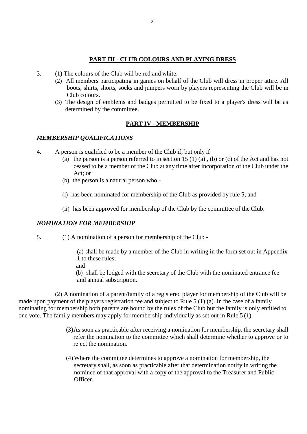#### **PART III - CLUB COLOURS AND PLAYING DRESS**

- 3. (1) The colours of the Club will be red and white.
	- (2) All members participating in games on behalf of the Club will dress in proper attire. All boots, shirts, shorts, socks and jumpers worn by players representing the Club will be in Club colours.
	- (3) The design of emblems and badges permitted to be fixed to a player's dress will be as determined by the committee.

#### **PART IV - MEMBERSHIP**

#### *MEMBERSHIP QUALIFICATIONS*

- 4. A person is qualified to be a member of the Club if, but only if
	- (a) the person is a person referred to in section 15 (1) (a), (b) or (c) of the Act and has not ceased to be a member of the Club at any time after incorporation of the Club under the Act; or
	- (b) the person is a natural person who -
	- (i) has been nominated for membership of the Club as provided by rule 5; and
	- (ii) has been approved for membership of the Club by the committee of the Club.

#### *NOMINATION FOR MEMBERSHIP*

5. (1) A nomination of a person for membership of the Club -

(a) shall be made by a member of the Club in writing in the form set out in Appendix 1 to these rules;

and

(b) shall be lodged with the secretary of the Club with the nominated entrance fee and annual subscription.

(2) A nomination of a parent/family of a registered player for membership of the Club will be made upon payment of the players registration fee and subject to Rule 5 (1) (a). In the case of a family nominating for membership both parents are bound by the rules of the Club but the family is only entitled to one vote. The family members may apply for membership individually as set out in Rule 5 (1).

- (3)As soon as practicable after receiving a nomination for membership, the secretary shall refer the nomination to the committee which shall determine whether to approve or to reject the nomination.
- (4)Where the committee determines to approve a nomination for membership, the secretary shall, as soon as practicable after that determination notify in writing the nominee of that approval with a copy of the approval to the Treasurer and Public Officer.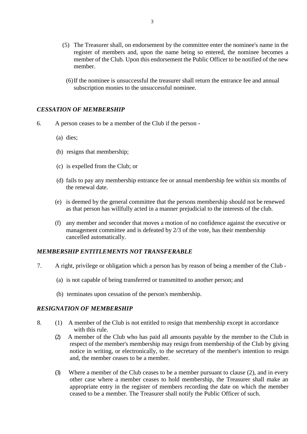- (5) The Treasurer shall, on endorsement by the committee enter the nominee's name in the register of members and, upon the name being so entered, the nominee becomes a member of the Club. Upon this endorsement the Public Officer to be notified of the new member.
	- (6)If the nominee is unsuccessful the treasurer shall return the entrance fee and annual subscription monies to the unsuccessful nominee.

#### *CESSATION OF MEMBERSHIP*

- 6. A person ceases to be a member of the Club if the person
	- (a) dies;
	- (b) resigns that membership;
	- (c) is expelled from the Club; or
	- (d) fails to pay any membership entrance fee or annual membership fee within six months of the renewal date.
	- (e) is deemed by the general committee that the persons membership should not be renewed as that person has willfully acted in a manner prejudicial to the interests of the club.
	- (f) any member and seconder that moves a motion of no confidence against the executive or management committee and is defeated by 2/3 of the vote, has their membership cancelled automatically.

#### *MEMBERSHIP ENTITLEMENTS NOT TRANSFERABLE*

- 7. A right, privilege or obligation which a person has by reason of being a member of the Club
	- (a) is not capable of being transferred or transmitted to another person; and
	- (b) terminates upon cessation of the person's membership.

#### *RESIGNATION OF MEMBERSHIP*

- 8. (1) A member of the Club is not entitled to resign that membership except in accordance with this rule.
	- (2) A member of the Club who has paid all amounts payable by the member to the Club in respect of the member's membership may resign from membership of the Club by giving notice in writing, or electronically, to the secretary of the member's intention to resign and, the member ceases to be a member.
	- (3) Where a member of the Club ceases to be a member pursuant to clause (2), and in every other case where a member ceases to hold membership, the Treasurer shall make an appropriate entry in the register of members recording the date on which the member ceased to be a member. The Treasurer shall notify the Public Officer of such.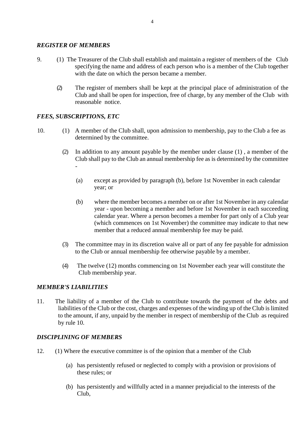#### *REGISTER OF MEMBERS*

- 9. (1) The Treasurer of the Club shall establish and maintain a register of members of the Club specifying the name and address of each person who is a member of the Club together with the date on which the person became a member.
	- (2) The register of members shall be kept at the principal place of administration of the Club and shall be open for inspection, free of charge, by any member of the Club with reasonable notice.

#### *FEES, SUBSCRIPTIONS, ETC*

- 10. (1) A member of the Club shall, upon admission to membership, pay to the Club a fee as determined by the committee.
	- (2) In addition to any amount payable by the member under clause (1) , a member of the Club shall pay to the Club an annual membership fee as is determined by the committee -
		- (a) except as provided by paragraph (b), before 1st November in each calendar year; or
		- (b) where the member becomes a member on or after 1st November in any calendar year - upon becoming a member and before 1st November in each succeeding calendar year. Where a person becomes a member for part only of a Club year (which commences on 1st November) the committee may indicate to that new member that a reduced annual membership fee may be paid.
	- (3) The committee may in its discretion waive all or part of any fee payable for admission to the Club or annual membership fee otherwise payable by a member.
	- (4) The twelve (12) months commencing on 1st November each year will constitute the Club membership year.

#### *MEMBER'S LIABILITIES*

11. The liability of a member of the Club to contribute towards the payment of the debts and liabilities of the Club or the cost, charges and expenses of the winding up of the Club is limited to the amount, if any, unpaid by the member in respect of membership of the Club as required by rule 10.

#### *DISCIPLINING OF MEMBERS*

- 12. (1) Where the executive committee is of the opinion that a member of the Club
	- (a) has persistently refused or neglected to comply with a provision or provisions of these rules; or
	- (b) has persistently and willfully acted in a manner prejudicial to the interests of the Club,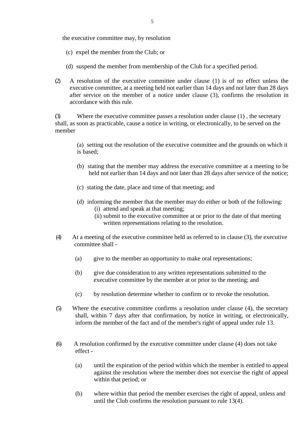the executive committee may, by resolution

- (c) expel the member from the Club; or
- (d) suspend the member from membership of the Club for a specified period.
- (2) A resolution of the executive committee under clause (1) is of no effect unless the executive committee, at a meeting held not earlier than 14 days and not later than 28 days after service on the member of a notice under clause (3), confirms the resolution in accordance with this rule.

(3) Where the executive committee passes a resolution under clause (1) , the secretary shall, as soon as practicable, cause a notice in writing, or electronically, to be served on the member

(a) setting out the resolution of the executive committee and the grounds on which it is based;

- (b) stating that the member may address the executive committee at a meeting to be held not earlier than 14 days and not later than 28 days after service of the notice;
- (c) stating the date, place and time of that meeting; and
- (d) informing the member that the member may do either or both of the following: (i) attend and speak at that meeting;
	- (ii) submit to the executive committee at or prior to the date of that meeting written representations relating to the resolution.
- (4) At a meeting of the executive committee held as referred to in clause (3), the executive committee shall -
	- (a) give to the member an opportunity to make oral representations;
	- (b) give due consideration to any written representations submitted to the executive committee by the member at or prior to the meeting; and
	- (c) by resolution determine whether to confirm or to revoke the resolution.
- (5) Where the executive committee confirms a resolution under clause (4), the secretary shall, within 7 days after that confirmation, by notice in writing, or electronically, inform the member of the fact and of the member's right of appeal under rule 13.
- (6) A resolution confirmed by the executive committee under clause (4) does not take effect -
	- (a) until the expiration of the period within which the member is entitled to appeal against the resolution where the member does not exercise the right of appeal within that period; or
	- (b) where within that period the member exercises the right of appeal, unless and until the Club confirms the resolution pursuant to rule 13(4).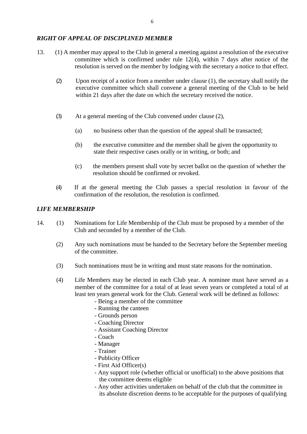#### *RIGHT OF APPEAL OF DISCIPLINED MEMBER*

- 13. (1) A member may appeal to the Club in general a meeting against a resolution of the executive committee which is confirmed under rule 12(4), within 7 days after notice of the resolution is served on the member by lodging with the secretary a notice to that effect.
	- (2) Upon receipt of a notice from a member under clause (1), the secretary shall notify the executive committee which shall convene a general meeting of the Club to be held within 21 days after the date on which the secretary received the notice.
	- (3) At a general meeting of the Club convened under clause (2),
		- (a) no business other than the question of the appeal shall be transacted;
		- (b) the executive committee and the member shall be given the opportunity to state their respective cases orally or in writing, or both; and
		- (c) the members present shall vote by secret ballot on the question of whether the resolution should be confirmed or revoked.
	- (4) If at the general meeting the Club passes a special resolution in favour of the confirmation of the resolution, the resolution is confirmed.

#### *LIFE MEMBERSHIP*

- 14. (1) Nominations for Life Membership of the Club must be proposed by a member of the Club and seconded by a member of the Club.
	- (2) Any such nominations must be handed to the Secretary before the September meeting of the committee.
	- (3) Such nominations must be in writing and must state reasons for the nomination.
	- (4) Life Members may be elected in each Club year. A nominee must have served as a member of the committee for a total of at least seven years or completed a total of at least ten years general work for the Club. General work will be defined as follows:
		- Being a member of the committee
		- Running the canteen
		- Grounds person
		- Coaching Director
		- Assistant Coaching Director
		- Coach
		- Manager
		- Trainer
		- Publicity Officer
		- First Aid Officer(s)
		- Any support role (whether official or unofficial) to the above positions that the committee deems eligible
		- Any other activities undertaken on behalf of the club that the committee in its absolute discretion deems to be acceptable for the purposes of qualifying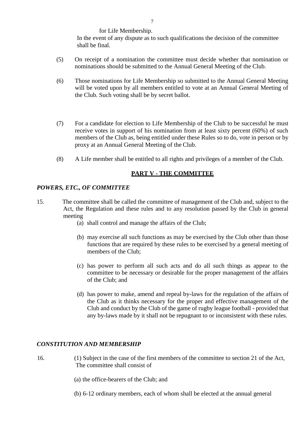for Life Membership.

In the event of any dispute as to such qualifications the decision of the committee shall be final.

- (5) On receipt of a nomination the committee must decide whether that nomination or nominations should be submitted to the Annual General Meeting of the Club.
- (6) Those nominations for Life Membership so submitted to the Annual General Meeting will be voted upon by all members entitled to vote at an Annual General Meeting of the Club. Such voting shall be by secret ballot.
- (7) For a candidate for election to Life Membership of the Club to be successful he must receive votes in support of his nomination from at least sixty percent (60%) of such members of the Club as, being entitled under these Rules so to do, vote in person or by proxy at an Annual General Meeting of the Club.
- (8) A Life member shall be entitled to all rights and privileges of a member of the Club.

# **PART V - THE COMMITTEE**

# *POWERS, ETC., OF COMMITTEE*

- 15. The committee shall be called the committee of management of the Club and, subject to the Act, the Regulation and these rules and to any resolution passed by the Club in general meeting
	- (a) shall control and manage the affairs of the Club;
	- (b) may exercise all such functions as may be exercised by the Club other than those functions that are required by these rules to be exercised by a general meeting of members of the Club;
	- (c) has power to perform all such acts and do all such things as appear to the committee to be necessary or desirable for the proper management of the affairs of the Club; and
	- (d) has power to make, amend and repeal by-laws for the regulation of the affairs of the Club as it thinks necessary for the proper and effective management of the Club and conduct by the Club of the game of rugby league football - provided that any by-laws made by it shall not be repugnant to or inconsistent with these rules.

#### *CONSTITUTION AND MEMBERSHIP*

- 16. (1) Subject in the case of the first members of the committee to section 21 of the Act, The committee shall consist of
	- (a) the office-bearers of the Club; and
	- (b) 6-12 ordinary members, each of whom shall be elected at the annual general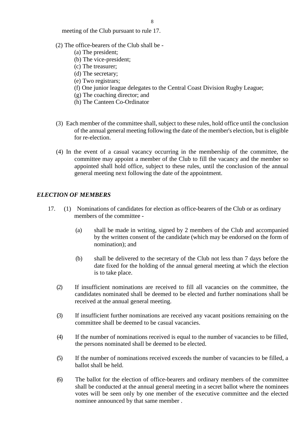meeting of the Club pursuant to rule 17.

- (2) The office-bearers of the Club shall be
	- (a) The president;
	- (b) The vice-president;
	- (c) The treasurer;
	- (d) The secretary;
	- (e) Two registrars;
	- (f) One junior league delegates to the Central Coast Division Rugby League;
	- (g) The coaching director; and
	- (h) The Canteen Co-Ordinator
- (3) Each member of the committee shall, subject to these rules, hold office until the conclusion of the annual general meeting following the date of the member's election, but is eligible for re-election.
- (4) In the event of a casual vacancy occurring in the membership of the committee, the committee may appoint a member of the Club to fill the vacancy and the member so appointed shall hold office, subject to these rules, until the conclusion of the annual general meeting next following the date of the appointment.

#### *ELECTION OF MEMBERS*

- 17. (1) Nominations of candidates for election as office-bearers of the Club or as ordinary members of the committee -
	- (a) shall be made in writing, signed by 2 members of the Club and accompanied by the written consent of the candidate (which may be endorsed on the form of nomination); and
	- (b) shall be delivered to the secretary of the Club not less than 7 days before the date fixed for the holding of the annual general meeting at which the election is to take place.
	- (2) If insufficient nominations are received to fill all vacancies on the committee, the candidates nominated shall be deemed to be elected and further nominations shall be received at the annual general meeting.
	- (3) If insufficient further nominations are received any vacant positions remaining on the committee shall be deemed to be casual vacancies.
	- (4) If the number of nominations received is equal to the number of vacancies to be filled, the persons nominated shall be deemed to be elected.
	- (5) If the number of nominations received exceeds the number of vacancies to be filled, a ballot shall be held.
	- (6) The ballot for the election of office-bearers and ordinary members of the committee shall be conducted at the annual general meeting in a secret ballot where the nominees votes will be seen only by one member of the executive committee and the elected nominee announced by that same member .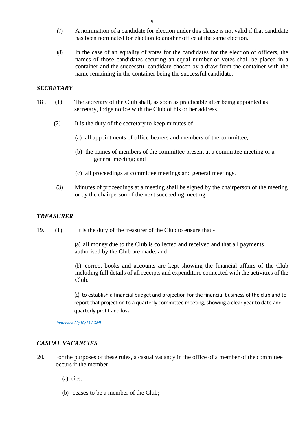- (7) A nomination of a candidate for election under this clause is not valid if that candidate has been nominated for election to another office at the same election.
- (8) In the case of an equality of votes for the candidates for the election of officers, the names of those candidates securing an equal number of votes shall be placed in a container and the successful candidate chosen by a draw from the container with the name remaining in the container being the successful candidate.

#### *SECRETARY*

- 18 . (1) The secretary of the Club shall, as soon as practicable after being appointed as secretary, lodge notice with the Club of his or her address.
	- (2) It is the duty of the secretary to keep minutes of
		- (a) all appointments of office-bearers and members of the committee;
		- (b) the names of members of the committee present at a committee meeting or a general meeting; and
		- (c) all proceedings at committee meetings and general meetings.
	- (3) Minutes of proceedings at a meeting shall be signed by the chairperson of the meeting or by the chairperson of the next succeeding meeting.

#### *TREASURER*

19. (1) It is the duty of the treasurer of the Club to ensure that -

(a) all money due to the Club is collected and received and that all payments authorised by the Club are made; and

(b) correct books and accounts are kept showing the financial affairs of the Club including full details of all receipts and expenditure connected with the activities of the Club.

(c) to establish a financial budget and projection for the financial business of the club and to report that projection to a quarterly committee meeting, showing a clear year to date and quarterly profit and loss.

*(amended 20/10/14 AGM)*

#### *CASUAL VACANCIES*

20. For the purposes of these rules, a casual vacancy in the office of a member of the committee occurs if the member -

(a) dies;

(b) ceases to be a member of the Club;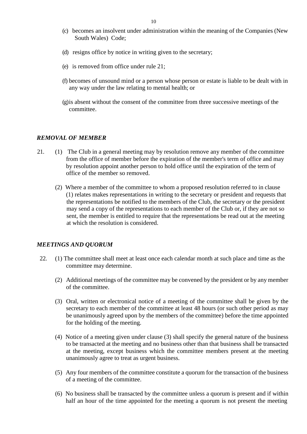- (c) becomes an insolvent under administration within the meaning of the Companies (New South Wales) Code;
- (d) resigns office by notice in writing given to the secretary;
- (e) is removed from office under rule 21;
- (f) becomes of unsound mind or a person whose person or estate is liable to be dealt with in any way under the law relating to mental health; or
- (g)is absent without the consent of the committee from three successive meetings of the committee.

#### *REMOVAL OF MEMBER*

- 21. (1) The Club in a general meeting may by resolution remove any member of the committee from the office of member before the expiration of the member's term of office and may by resolution appoint another person to hold office until the expiration of the term of office of the member so removed.
	- (2) Where a member of the committee to whom a proposed resolution referred to in clause (1) relates makes representations in writing to the secretary or president and requests that the representations be notified to the members of the Club, the secretary or the president may send a copy of the representations to each member of the Club or, if they are not so sent, the member is entitled to require that the representations be read out at the meeting at which the resolution is considered.

#### *MEETINGS AND QUORUM*

- 22. (1) The committee shall meet at least once each calendar month at such place and time as the committee may determine.
	- (2) Additional meetings of the committee may be convened by the president or by any member of the committee.
	- (3) Oral, written or electronical notice of a meeting of the committee shall be given by the secretary to each member of the committee at least 48 hours (or such other period as may be unanimously agreed upon by the members of the committee) before the time appointed for the holding of the meeting.
	- (4) Notice of a meeting given under clause (3) shall specify the general nature of the business to be transacted at the meeting and no business other than that business shall be transacted at the meeting, except business which the committee members present at the meeting unanimously agree to treat as urgent business.
	- (5) Any four members of the committee constitute a quorum for the transaction of the business of a meeting of the committee.
	- (6) No business shall be transacted by the committee unless a quorum is present and if within half an hour of the time appointed for the meeting a quorum is not present the meeting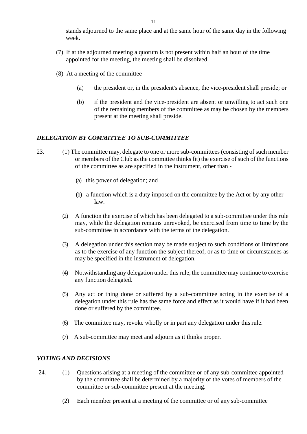stands adjourned to the same place and at the same hour of the same day in the following week.

- (7) If at the adjourned meeting a quorum is not present within half an hour of the time appointed for the meeting, the meeting shall be dissolved.
- (8) At a meeting of the committee
	- (a) the president or, in the president's absence, the vice-president shall preside; or
	- (b) if the president and the vice-president are absent or unwilling to act such one of the remaining members of the committee as may be chosen by the members present at the meeting shall preside.

#### *DELEGATION BY COMMITTEE TO SUB-COMMITTEE*

- 23. (1) The committee may, delegate to one or more sub-committees (consisting of such member or members of the Club as the committee thinks fit) the exercise of such of the functions of the committee as are specified in the instrument, other than -
	- (a) this power of delegation; and
	- (b) a function which is a duty imposed on the committee by the Act or by any other law.
	- (2) A function the exercise of which has been delegated to a sub-committee under this rule may, while the delegation remains unrevoked, be exercised from time to time by the sub-committee in accordance with the terms of the delegation.
	- (3) A delegation under this section may be made subject to such conditions or limitations as to the exercise of any function the subject thereof, or as to time or circumstances as may be specified in the instrument of delegation.
	- (4) Notwithstanding any delegation under this rule, the committee may continue to exercise any function delegated.
	- (5) Any act or thing done or suffered by a sub-committee acting in the exercise of a delegation under this rule has the same force and effect as it would have if it had been done or suffered by the committee.
	- (6) The committee may, revoke wholly or in part any delegation under thisrule.
	- (7) A sub-committee may meet and adjourn as it thinks proper.

#### *VOTING AND DECISIONS*

- 24. (1) Questions arising at a meeting of the committee or of any sub-committee appointed by the committee shall be determined by a majority of the votes of members of the committee or sub-committee present at the meeting.
	- (2) Each member present at a meeting of the committee or of any sub-committee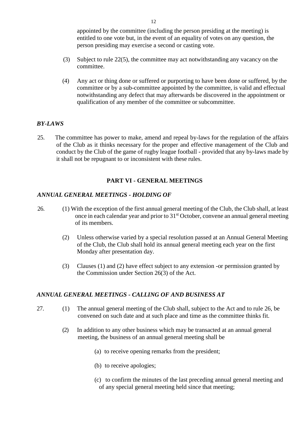appointed by the committee (including the person presiding at the meeting) is entitled to one vote but, in the event of an equality of votes on any question, the person presiding may exercise a second or casting vote.

- (3) Subject to rule 22(5), the committee may act notwithstanding any vacancy on the committee.
- (4) Any act or thing done or suffered or purporting to have been done or suffered, by the committee or by a sub-committee appointed by the committee, is valid and effectual notwithstanding any defect that may afterwards be discovered in the appointment or qualification of any member of the committee or subcommittee.

#### *BY-LAWS*

25. The committee has power to make, amend and repeal by-laws for the regulation of the affairs of the Club as it thinks necessary for the proper and effective management of the Club and conduct by the Club of the game of rugby league football - provided that any by-laws made by it shall not be repugnant to or inconsistent with these rules.

#### **PART VI - GENERAL MEETINGS**

#### *ANNUAL GENERAL MEETINGS - HOLDING OF*

- 26. (1) With the exception of the first annual general meeting of the Club, the Club shall, at least once in each calendar year and prior to 31st October, convene an annual general meeting of its members.
	- (2) Unless otherwise varied by a special resolution passed at an Annual General Meeting of the Club, the Club shall hold its annual general meeting each year on the first Monday after presentation day.
	- (3) Clauses (1) and (2) have effect subject to any extension -or permission granted by the Commission under Section 26(3) of the Act.

#### *ANNUAL GENERAL MEETINGS - CALLING OF AND BUSINESS AT*

- 27. (1) The annual general meeting of the Club shall, subject to the Act and to rule 26, be convened on such date and at such place and time as the committee thinks fit.
	- (2) In addition to any other business which may be transacted at an annual general meeting, the business of an annual general meeting shall be
		- (a) to receive opening remarks from the president;
		- (b) to receive apologies;
		- (c) to confirm the minutes of the last preceding annual general meeting and of any special general meeting held since that meeting;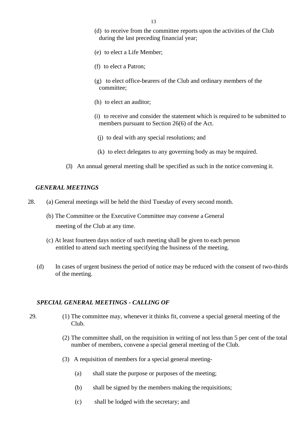- (d) to receive from the committee reports upon the activities of the Club during the last preceding financial year;
- (e) to elect a Life Member;
- (f) to elect a Patron;
- (g) to elect office-bearers of the Club and ordinary members of the committee;
- (h) to elect an auditor;
- (i) to receive and consider the statement which is required to be submitted to members pursuant to Section 26(6) of the Act.
	- (j) to deal with any special resolutions; and
- (k) to elect delegates to any governing body as may be required.
- (3) An annual general meeting shall be specified as such in the notice convening it.

#### *GENERAL MEETINGS*

- 28. (a) General meetings will be held the third Tuesday of every second month.
	- (b) The Committee or the Executive Committee may convene a General meeting of the Club at any time.
	- (c) At least fourteen days notice of such meeting shall be given to each person entitled to attend such meeting specifying the business of the meeting.
	- (d) In cases of urgent business the period of notice may be reduced with the consent of two-thirds of the meeting.

#### *SPECIAL GENERAL MEETINGS - CALLING OF*

- 29. (1) The committee may, whenever it thinks fit, convene a special general meeting of the Club.
	- (2) The committee shall, on the requisition in writing of not less than 5 per cent of the total number of members, convene a special general meeting of the Club.
	- (3) A requisition of members for a special general meeting-
		- (a) shall state the purpose or purposes of the meeting;
		- (b) shall be signed by the members making the requisitions;
		- (c) shall be lodged with the secretary; and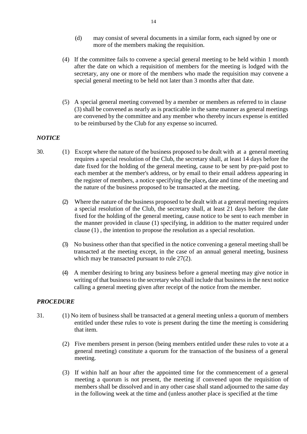- (d) may consist of several documents in a similar form, each signed by one or more of the members making the requisition.
- (4) If the committee fails to convene a special general meeting to be held within 1 month after the date on which a requisition of members for the meeting is lodged with the secretary, any one or more of the members who made the requisition may convene a special general meeting to be held not later than 3 months after that date.
- (5) A special general meeting convened by a member or members as referred to in clause (3) shall be convened as nearly as is practicable in the same manner as general meetings are convened by the committee and any member who thereby incurs expense is entitled to be reimbursed by the Club for any expense so incurred.

#### *NOTICE*

- 30. (1) Except where the nature of the business proposed to be dealt with at a general meeting requires a special resolution of the Club, the secretary shall, at least 14 days before the date fixed for the holding of the general meeting, cause to be sent by pre-paid post to each member at the member's address, or by email to their email address appearing in the register of members, a notice specifying the place**,** date and time of the meeting and the nature of the business proposed to be transacted at the meeting.
	- (2) Where the nature of the business proposed to be dealt with at a general meeting requires a special resolution of the Club, the secretary shall, at least 21 days before the date fixed for the holding of the general meeting, cause notice to be sent to each member in the manner provided in clause (1) specifying, in addition to the matter required under clause (1) , the intention to propose the resolution as a special resolution.
	- (3) No business other than that specified in the notice convening a general meeting shall be transacted at the meeting except, in the case of an annual general meeting, business which may be transacted pursuant to rule 27(2).
	- (4) A member desiring to bring any business before a general meeting may give notice in writing of that business to the secretary who shall include that business in the next notice calling a general meeting given after receipt of the notice from the member.

#### *PROCEDURE*

- 31. (1) No item of business shall be transacted at a general meeting unless a quorum of members entitled under these rules to vote is present during the time the meeting is considering that item.
	- (2) Five members present in person (being members entitled under these rules to vote at a general meeting) constitute a quorum for the transaction of the business of a general meeting.
	- (3) If within half an hour after the appointed time for the commencement of a general meeting a quorum is not present, the meeting if convened upon the requisition of members shall be dissolved and in any other case shall stand adjourned to the same day in the following week at the time and (unless another place is specified at the time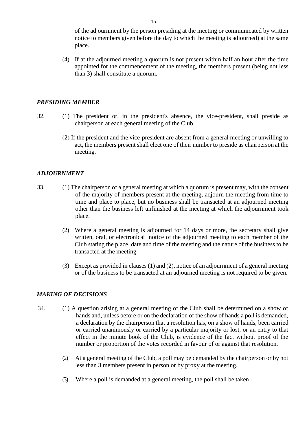of the adjournment by the person presiding at the meeting or communicated by written notice to members given before the day to which the meeting is adjourned) at the same place.

(4) If at the adjourned meeting a quorum is not present within half an hour after the time appointed for the commencement of the meeting, the members present (being not less than 3) shall constitute a quorum.

#### *PRESIDING MEMBER*

- 32. (1) The president or, in the president's absence, the vice-president, shall preside as chairperson at each general meeting of the Club.
	- (2) If the president and the vice-president are absent from a general meeting or unwilling to act, the members present shall elect one of their number to preside as chairperson at the meeting.

#### *ADJOURNMENT*

- 33. (1) The chairperson of a general meeting at which a quorum is present may, with the consent of the majority of members present at the meeting, adjourn the meeting from time to time and place to place, but no business shall be transacted at an adjourned meeting other than the business left unfinished at the meeting at which the adjournment took place.
	- (2) Where a general meeting is adjourned for 14 days or more, the secretary shall give written, oral, or electronical notice of the adjourned meeting to each member of the Club stating the place, date and time of the meeting and the nature of the business to be transacted at the meeting.
	- (3) Except as provided in clauses (1) and (2), notice of an adjournment of a general meeting or of the business to be transacted at an adjourned meeting is not required to be given.

#### *MAKING OF DECISIONS*

- 34. (1) A question arising at a general meeting of the Club shall be determined on a show of hands and, unless before or on the declaration of the show of hands a poll is demanded, a declaration by the chairperson that a resolution has, on a show of hands, been carried or carried unanimously or carried by a particular majority or lost, or an entry to that effect in the minute book of the Club, is evidence of the fact without proof of the number or proportion of the votes recorded in favour of or against that resolution.
	- (2) At a general meeting of the Club, a poll may be demanded by the chairperson or by not less than 3 members present in person or by proxy at the meeting.
	- (3) Where a poll is demanded at a general meeting, the poll shall be taken -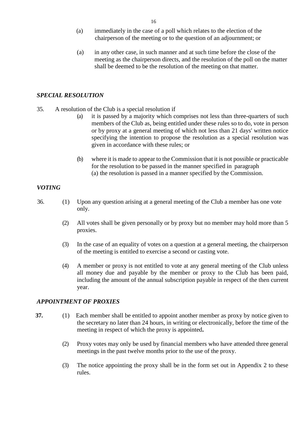- (a) immediately in the case of a poll which relates to the election of the chairperson of the meeting or to the question of an adjournment; or
- (a) in any other case, in such manner and at such time before the close of the meeting as the chairperson directs, and the resolution of the poll on the matter shall be deemed to be the resolution of the meeting on that matter.

#### *SPECIAL RESOLUTION*

- 35. A resolution of the Club is a special resolution if
	- (a) it is passed by a majority which comprises not less than three-quarters of such members of the Club as, being entitled under these rules so to do, vote in person or by proxy at a general meeting of which not less than 21 days' written notice specifying the intention to propose the resolution as a special resolution was given in accordance with these rules; or
	- (b) where it is made to appear to the Commission that it is not possible or practicable for the resolution to be passed in the manner specified in paragraph (a) the resolution is passed in a manner specified by the Commission.

#### *VOTING*

- 36. (1) Upon any question arising at a general meeting of the Club a member has one vote only.
	- (2) All votes shall be given personally or by proxy but no member may hold more than 5 proxies.
	- (3) In the case of an equality of votes on a question at a general meeting, the chairperson of the meeting is entitled to exercise a second or casting vote.
	- (4) A member or proxy is not entitled to vote at any general meeting of the Club unless all money due and payable by the member or proxy to the Club has been paid, including the amount of the annual subscription payable in respect of the then current year.

#### *APPOINTMENT OF PROXIES*

- **37.** (1) Each member shall be entitled to appoint another member as proxy by notice given to the secretary no later than 24 hours, in writing or electronically, before the time of the meeting in respect of which the proxy is appointed**.**
	- (2) Proxy votes may only be used by financial members who have attended three general meetings in the past twelve months prior to the use of the proxy.
	- (3) The notice appointing the proxy shall be in the form set out in Appendix 2 to these rules.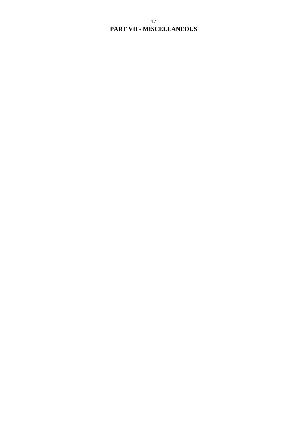#### 17 **PART VII - MISCELLANEOUS**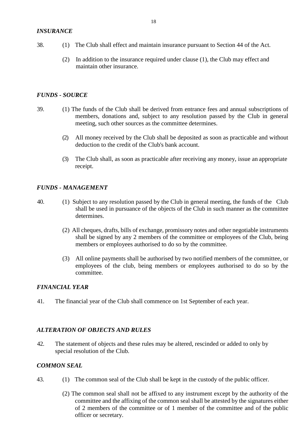- 38. (1) The Club shall effect and maintain insurance pursuant to Section 44 of the Act.
	- (2) In addition to the insurance required under clause (1), the Club may effect and maintain other insurance.

#### *FUNDS - SOURCE*

- 39. (1) The funds of the Club shall be derived from entrance fees and annual subscriptions of members, donations and, subject to any resolution passed by the Club in general meeting, such other sources as the committee determines.
	- (2) All money received by the Club shall be deposited as soon as practicable and without deduction to the credit of the Club's bank account.
	- (3) The Club shall, as soon as practicable after receiving any money, issue an appropriate receipt.

#### *FUNDS - MANAGEMENT*

- 40. (1) Subject to any resolution passed by the Club in general meeting, the funds of the Club shall be used in pursuance of the objects of the Club in such manner as the committee determines.
	- (2) All cheques, drafts, bills of exchange, promissory notes and other negotiable instruments shall be signed by any 2 members of the committee or employees of the Club, being members or employees authorised to do so by the committee.
	- (3) All online payments shall be authorised by two notified members of the committee, or employees of the club, being members or employees authorised to do so by the committee.

#### *FINANCIAL YEAR*

41. The financial year of the Club shall commence on 1st September of each year.

#### *ALTERATION OF OBJECTS AND RULES*

42. The statement of objects and these rules may be altered, rescinded or added to only by special resolution of the Club.

#### *COMMON SEAL*

- 43. (1) The common seal of the Club shall be kept in the custody of the public officer.
	- (2) The common seal shall not be affixed to any instrument except by the authority of the committee and the affixing of the common seal shall be attested by the signatures either of 2 members of the committee or of 1 member of the committee and of the public officer or secretary.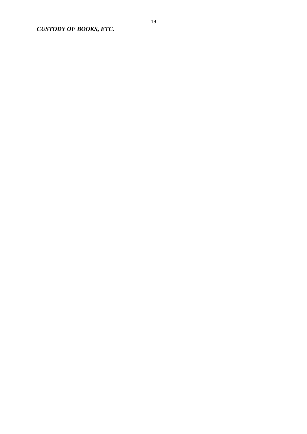*CUSTODY OF BOOKS, ETC.*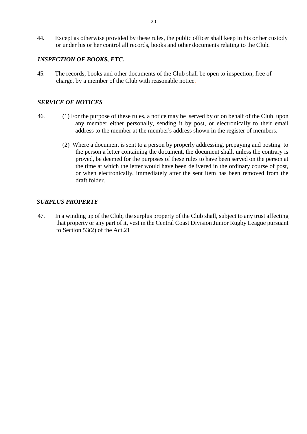44. Except as otherwise provided by these rules, the public officer shall keep in his or her custody or under his or her control all records, books and other documents relating to the Club.

#### *INSPECTION OF BOOKS, ETC.*

45. The records, books and other documents of the Club shall be open to inspection, free of charge, by a member of the Club with reasonable notice.

#### *SERVICE OF NOTICES*

- 46. (1) For the purpose of these rules, a notice may be served by or on behalf of the Club upon any member either personally, sending it by post, or electronically to their email address to the member at the member's address shown in the register of members.
	- (2) Where a document is sent to a person by properly addressing, prepaying and posting to the person a letter containing the document, the document shall, unless the contrary is proved, be deemed for the purposes of these rules to have been served on the person at the time at which the letter would have been delivered in the ordinary course of post, or when electronically, immediately after the sent item has been removed from the draft folder.

#### *SURPLUS PROPERTY*

47. In a winding up of the Club, the surplus property of the Club shall, subject to any trust affecting that property or any part of it, vest in the Central Coast Division Junior Rugby League pursuant to Section 53(2) of the Act.21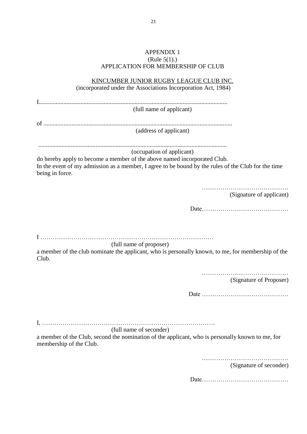#### APPENDIX 1 (Rule 5(1).) APPLICATION FOR MEMBERSHIP OF CLUB

| KINCUMBER JUNIOR RUGBY LEAGUE CLUB INC.                                                                                       |
|-------------------------------------------------------------------------------------------------------------------------------|
| (incorporated under the Associations Incorporation Act, 1984)                                                                 |
|                                                                                                                               |
| (full name of applicant)                                                                                                      |
|                                                                                                                               |
|                                                                                                                               |
| (address of applicant)                                                                                                        |
|                                                                                                                               |
| (occupation of applicant)                                                                                                     |
| do hereby apply to become a member of the above named incorporated Club.                                                      |
| In the event of my admission as a member, I agree to be bound by the rules of the Club for the time                           |
| being in force.                                                                                                               |
|                                                                                                                               |
| (Signature of applicant)                                                                                                      |
|                                                                                                                               |
|                                                                                                                               |
|                                                                                                                               |
|                                                                                                                               |
|                                                                                                                               |
| (full name of proposer)<br>a member of the club nominate the applicant, who is personally known, to me, for membership of the |
| Club.                                                                                                                         |
|                                                                                                                               |
|                                                                                                                               |
| (Signature of Proposer)                                                                                                       |
|                                                                                                                               |
|                                                                                                                               |
|                                                                                                                               |
|                                                                                                                               |
| (full name of seconder)                                                                                                       |
| a member of the Club, second the nomination of the applicant, who is personally known to me, for                              |
| membership of the Club.                                                                                                       |
|                                                                                                                               |
|                                                                                                                               |

(Signature of seconder)

Date……………………………………